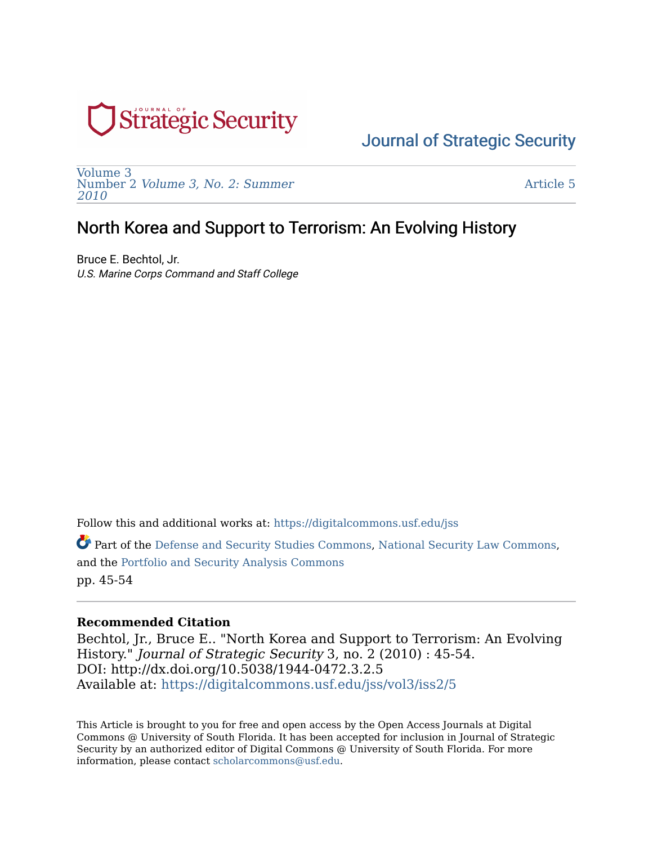

[Volume 3](https://digitalcommons.usf.edu/jss/vol3)  Number 2 [Volume 3, No. 2: Summer](https://digitalcommons.usf.edu/jss/vol3/iss2)  [2010](https://digitalcommons.usf.edu/jss/vol3/iss2) 

[Article 5](https://digitalcommons.usf.edu/jss/vol3/iss2/5) 

# North Korea and Support to Terrorism: An Evolving History

Bruce E. Bechtol, Jr. U.S. Marine Corps Command and Staff College

Follow this and additional works at: [https://digitalcommons.usf.edu/jss](https://digitalcommons.usf.edu/jss?utm_source=digitalcommons.usf.edu%2Fjss%2Fvol3%2Fiss2%2F5&utm_medium=PDF&utm_campaign=PDFCoverPages)

Part of the [Defense and Security Studies Commons,](http://network.bepress.com/hgg/discipline/394?utm_source=digitalcommons.usf.edu%2Fjss%2Fvol3%2Fiss2%2F5&utm_medium=PDF&utm_campaign=PDFCoverPages) [National Security Law Commons,](http://network.bepress.com/hgg/discipline/1114?utm_source=digitalcommons.usf.edu%2Fjss%2Fvol3%2Fiss2%2F5&utm_medium=PDF&utm_campaign=PDFCoverPages) and the [Portfolio and Security Analysis Commons](http://network.bepress.com/hgg/discipline/640?utm_source=digitalcommons.usf.edu%2Fjss%2Fvol3%2Fiss2%2F5&utm_medium=PDF&utm_campaign=PDFCoverPages)  pp. 45-54

### **Recommended Citation**

Bechtol, Jr., Bruce E.. "North Korea and Support to Terrorism: An Evolving History." Journal of Strategic Security 3, no. 2 (2010) : 45-54. DOI: http://dx.doi.org/10.5038/1944-0472.3.2.5 Available at: [https://digitalcommons.usf.edu/jss/vol3/iss2/5](https://digitalcommons.usf.edu/jss/vol3/iss2/5?utm_source=digitalcommons.usf.edu%2Fjss%2Fvol3%2Fiss2%2F5&utm_medium=PDF&utm_campaign=PDFCoverPages)

This Article is brought to you for free and open access by the Open Access Journals at Digital Commons @ University of South Florida. It has been accepted for inclusion in Journal of Strategic Security by an authorized editor of Digital Commons @ University of South Florida. For more information, please contact [scholarcommons@usf.edu.](mailto:scholarcommons@usf.edu)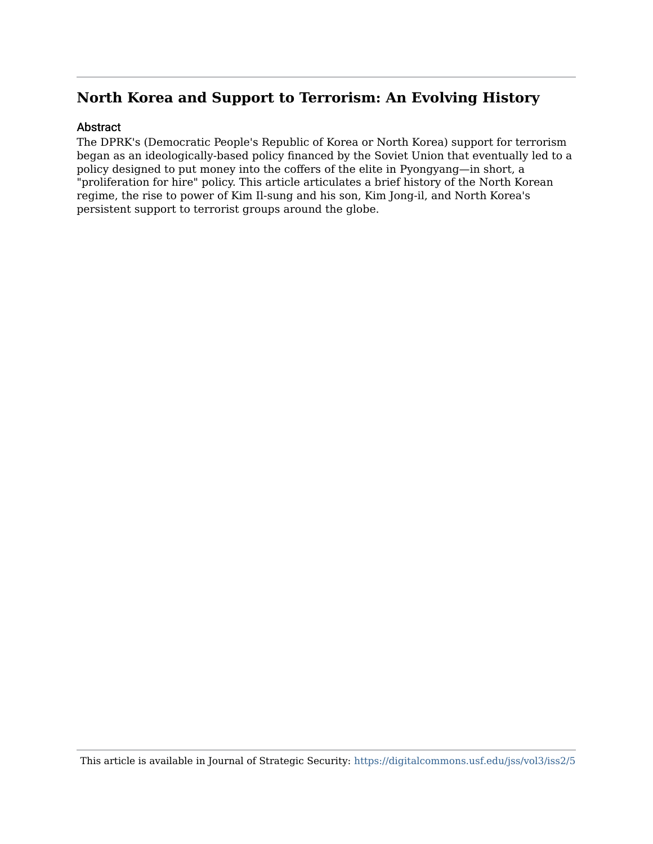### Abstract

The DPRK's (Democratic People's Republic of Korea or North Korea) support for terrorism began as an ideologically-based policy financed by the Soviet Union that eventually led to a policy designed to put money into the coffers of the elite in Pyongyang—in short, a "proliferation for hire" policy. This article articulates a brief history of the North Korean regime, the rise to power of Kim Il-sung and his son, Kim Jong-il, and North Korea's persistent support to terrorist groups around the globe.

This article is available in Journal of Strategic Security: <https://digitalcommons.usf.edu/jss/vol3/iss2/5>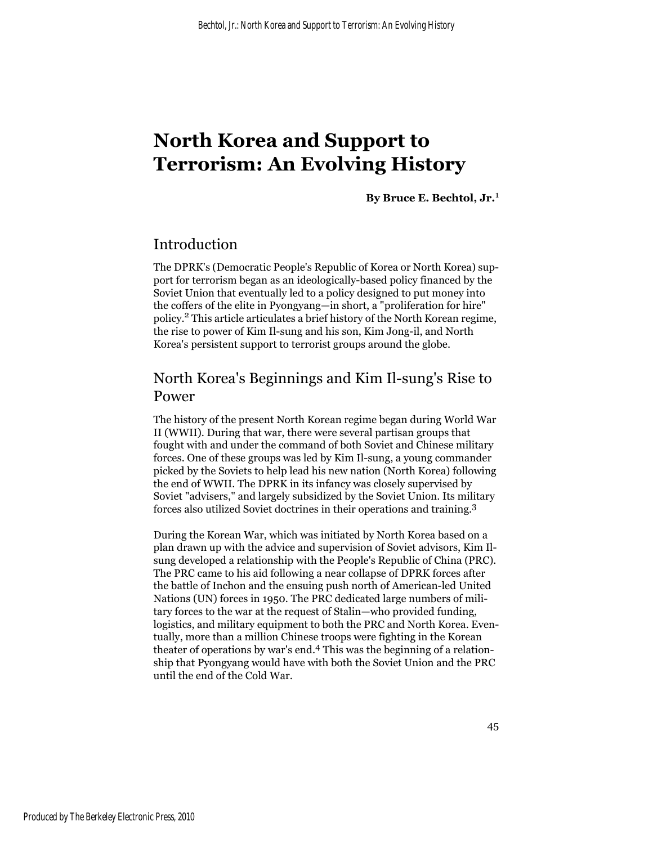**By Bruce E. Bechtol, Jr.**<sup>1</sup>

## Introduction

The DPRK's (Democratic People's Republic of Korea or North Korea) support for terrorism began as an ideologically-based policy financed by the Soviet Union that eventually led to a policy designed to put money into the coffers of the elite in Pyongyang—in short, a "proliferation for hire" policy.2 This article articulates a brief history of the North Korean regime, the rise to power of Kim Il-sung and his son, Kim Jong-il, and North Korea's persistent support to terrorist groups around the globe.

# North Korea's Beginnings and Kim Il-sung's Rise to Power

The history of the present North Korean regime began during World War II (WWII). During that war, there were several partisan groups that fought with and under the command of both Soviet and Chinese military forces. One of these groups was led by Kim Il-sung, a young commander picked by the Soviets to help lead his new nation (North Korea) following the end of WWII. The DPRK in its infancy was closely supervised by Soviet "advisers," and largely subsidized by the Soviet Union. Its military forces also utilized Soviet doctrines in their operations and training.<sup>3</sup>

During the Korean War, which was initiated by North Korea based on a plan drawn up with the advice and supervision of Soviet advisors, Kim Ilsung developed a relationship with the People's Republic of China (PRC). The PRC came to his aid following a near collapse of DPRK forces after the battle of Inchon and the ensuing push north of American-led United Nations (UN) forces in 1950. The PRC dedicated large numbers of military forces to the war at the request of Stalin—who provided funding, logistics, and military equipment to both the PRC and North Korea. Eventually, more than a million Chinese troops were fighting in the Korean theater of operations by war's end.4 This was the beginning of a relationship that Pyongyang would have with both the Soviet Union and the PRC until the end of the Cold War.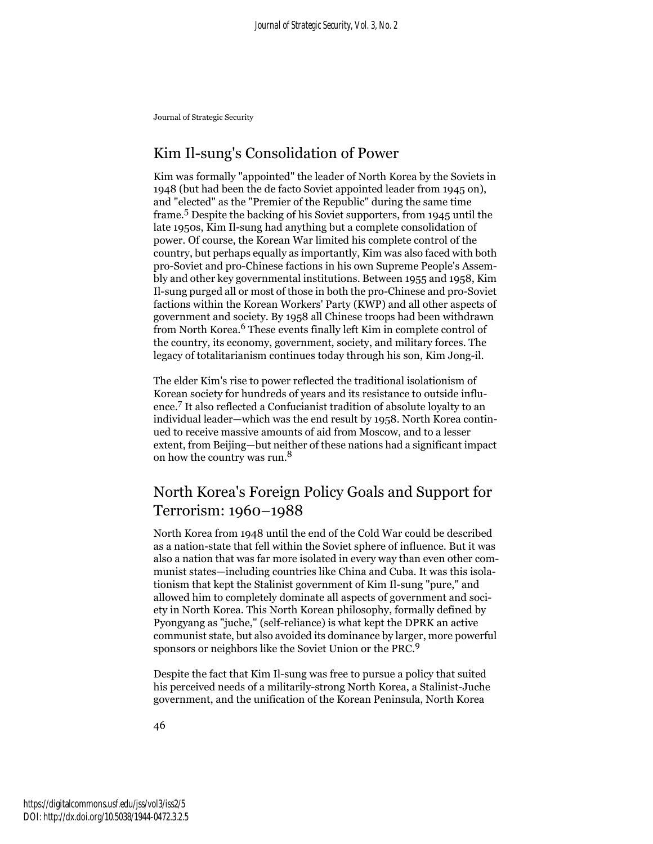## Kim Il-sung's Consolidation of Power

Kim was formally "appointed" the leader of North Korea by the Soviets in 1948 (but had been the de facto Soviet appointed leader from 1945 on), and "elected" as the "Premier of the Republic" during the same time frame.5 Despite the backing of his Soviet supporters, from 1945 until the late 1950s, Kim Il-sung had anything but a complete consolidation of power. Of course, the Korean War limited his complete control of the country, but perhaps equally as importantly, Kim was also faced with both pro-Soviet and pro-Chinese factions in his own Supreme People's Assembly and other key governmental institutions. Between 1955 and 1958, Kim Il-sung purged all or most of those in both the pro-Chinese and pro-Soviet factions within the Korean Workers' Party (KWP) and all other aspects of government and society. By 1958 all Chinese troops had been withdrawn from North Korea.<sup>6</sup> These events finally left Kim in complete control of the country, its economy, government, society, and military forces. The legacy of totalitarianism continues today through his son, Kim Jong-il.

The elder Kim's rise to power reflected the traditional isolationism of Korean society for hundreds of years and its resistance to outside influence.7 It also reflected a Confucianist tradition of absolute loyalty to an individual leader—which was the end result by 1958. North Korea continued to receive massive amounts of aid from Moscow, and to a lesser extent, from Beijing—but neither of these nations had a significant impact on how the country was run.8

# North Korea's Foreign Policy Goals and Support for Terrorism: 1960–1988

North Korea from 1948 until the end of the Cold War could be described as a nation-state that fell within the Soviet sphere of influence. But it was also a nation that was far more isolated in every way than even other communist states—including countries like China and Cuba. It was this isolationism that kept the Stalinist government of Kim Il-sung "pure," and allowed him to completely dominate all aspects of government and society in North Korea. This North Korean philosophy, formally defined by Pyongyang as "juche," (self-reliance) is what kept the DPRK an active communist state, but also avoided its dominance by larger, more powerful sponsors or neighbors like the Soviet Union or the PRC.<sup>9</sup>

Despite the fact that Kim Il-sung was free to pursue a policy that suited his perceived needs of a militarily-strong North Korea, a Stalinist-Juche government, and the unification of the Korean Peninsula, North Korea

46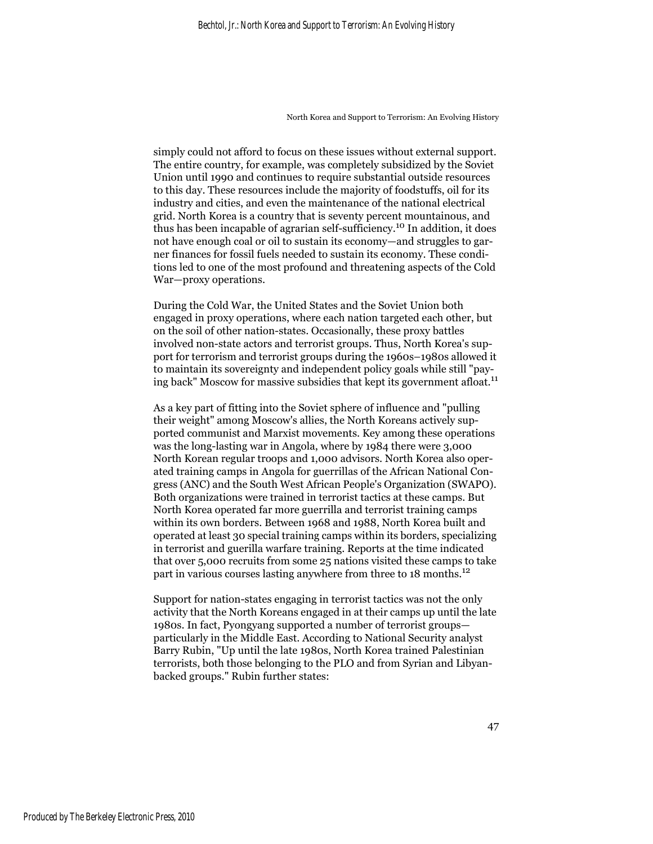simply could not afford to focus on these issues without external support. The entire country, for example, was completely subsidized by the Soviet Union until 1990 and continues to require substantial outside resources to this day. These resources include the majority of foodstuffs, oil for its industry and cities, and even the maintenance of the national electrical grid. North Korea is a country that is seventy percent mountainous, and thus has been incapable of agrarian self-sufficiency.10 In addition, it does not have enough coal or oil to sustain its economy—and struggles to garner finances for fossil fuels needed to sustain its economy. These conditions led to one of the most profound and threatening aspects of the Cold War—proxy operations.

During the Cold War, the United States and the Soviet Union both engaged in proxy operations, where each nation targeted each other, but on the soil of other nation-states. Occasionally, these proxy battles involved non-state actors and terrorist groups. Thus, North Korea's support for terrorism and terrorist groups during the 1960s–1980s allowed it to maintain its sovereignty and independent policy goals while still "paying back" Moscow for massive subsidies that kept its government afloat.<sup>11</sup>

As a key part of fitting into the Soviet sphere of influence and "pulling their weight" among Moscow's allies, the North Koreans actively supported communist and Marxist movements. Key among these operations was the long-lasting war in Angola, where by 1984 there were 3,000 North Korean regular troops and 1,000 advisors. North Korea also operated training camps in Angola for guerrillas of the African National Congress (ANC) and the South West African People's Organization (SWAPO). Both organizations were trained in terrorist tactics at these camps. But North Korea operated far more guerrilla and terrorist training camps within its own borders. Between 1968 and 1988, North Korea built and operated at least 30 special training camps within its borders, specializing in terrorist and guerilla warfare training. Reports at the time indicated that over 5,000 recruits from some 25 nations visited these camps to take part in various courses lasting anywhere from three to 18 months.<sup>12</sup>

Support for nation-states engaging in terrorist tactics was not the only activity that the North Koreans engaged in at their camps up until the late 1980s. In fact, Pyongyang supported a number of terrorist groups particularly in the Middle East. According to National Security analyst Barry Rubin, "Up until the late 1980s, North Korea trained Palestinian terrorists, both those belonging to the PLO and from Syrian and Libyanbacked groups." Rubin further states: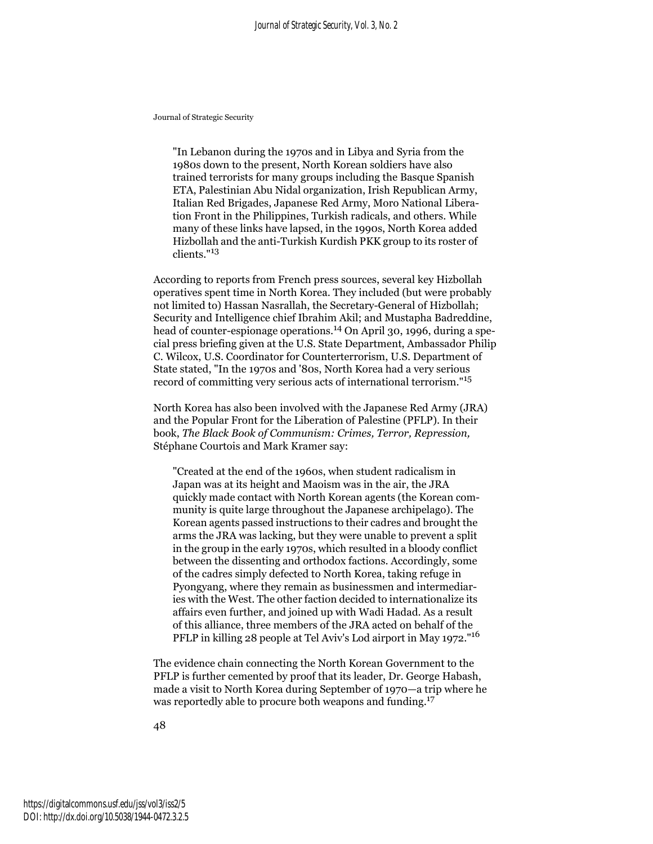"In Lebanon during the 1970s and in Libya and Syria from the 1980s down to the present, North Korean soldiers have also trained terrorists for many groups including the Basque Spanish ETA, Palestinian Abu Nidal organization, Irish Republican Army, Italian Red Brigades, Japanese Red Army, Moro National Liberation Front in the Philippines, Turkish radicals, and others. While many of these links have lapsed, in the 1990s, North Korea added Hizbollah and the anti-Turkish Kurdish PKK group to its roster of clients."<sup>13</sup>

According to reports from French press sources, several key Hizbollah operatives spent time in North Korea. They included (but were probably not limited to) Hassan Nasrallah, the Secretary-General of Hizbollah; Security and Intelligence chief Ibrahim Akil; and Mustapha Badreddine, head of counter-espionage operations.14 On April 30, 1996, during a special press briefing given at the U.S. State Department, Ambassador Philip C. Wilcox, U.S. Coordinator for Counterterrorism, U.S. Department of State stated, "In the 1970s and '80s, North Korea had a very serious record of committing very serious acts of international terrorism."<sup>15</sup>

North Korea has also been involved with the Japanese Red Army (JRA) and the Popular Front for the Liberation of Palestine (PFLP). In their book, *The Black Book of Communism: Crimes, Terror, Repression,*  Stéphane Courtois and Mark Kramer say:

"Created at the end of the 1960s, when student radicalism in Japan was at its height and Maoism was in the air, the JRA quickly made contact with North Korean agents (the Korean community is quite large throughout the Japanese archipelago). The Korean agents passed instructions to their cadres and brought the arms the JRA was lacking, but they were unable to prevent a split in the group in the early 1970s, which resulted in a bloody conflict between the dissenting and orthodox factions. Accordingly, some of the cadres simply defected to North Korea, taking refuge in Pyongyang, where they remain as businessmen and intermediaries with the West. The other faction decided to internationalize its affairs even further, and joined up with Wadi Hadad. As a result of this alliance, three members of the JRA acted on behalf of the PFLP in killing 28 people at Tel Aviv's Lod airport in May 1972."16

The evidence chain connecting the North Korean Government to the PFLP is further cemented by proof that its leader, Dr. George Habash, made a visit to North Korea during September of 1970—a trip where he was reportedly able to procure both weapons and funding.<sup>17</sup>

48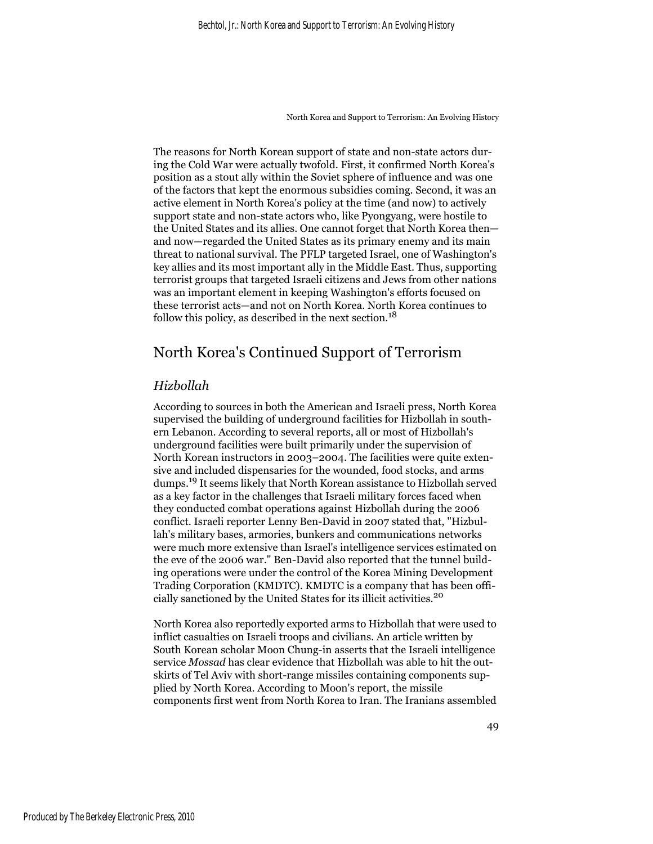The reasons for North Korean support of state and non-state actors during the Cold War were actually twofold. First, it confirmed North Korea's position as a stout ally within the Soviet sphere of influence and was one of the factors that kept the enormous subsidies coming. Second, it was an active element in North Korea's policy at the time (and now) to actively support state and non-state actors who, like Pyongyang, were hostile to the United States and its allies. One cannot forget that North Korea then and now—regarded the United States as its primary enemy and its main threat to national survival. The PFLP targeted Israel, one of Washington's key allies and its most important ally in the Middle East. Thus, supporting terrorist groups that targeted Israeli citizens and Jews from other nations was an important element in keeping Washington's efforts focused on these terrorist acts—and not on North Korea. North Korea continues to follow this policy, as described in the next section.<sup>18</sup>

## North Korea's Continued Support of Terrorism

#### *Hizbollah*

According to sources in both the American and Israeli press, North Korea supervised the building of underground facilities for Hizbollah in southern Lebanon. According to several reports, all or most of Hizbollah's underground facilities were built primarily under the supervision of North Korean instructors in 2003–2004. The facilities were quite extensive and included dispensaries for the wounded, food stocks, and arms dumps.19 It seems likely that North Korean assistance to Hizbollah served as a key factor in the challenges that Israeli military forces faced when they conducted combat operations against Hizbollah during the 2006 conflict. Israeli reporter Lenny Ben-David in 2007 stated that, "Hizbullah's military bases, armories, bunkers and communications networks were much more extensive than Israel's intelligence services estimated on the eve of the 2006 war." Ben-David also reported that the tunnel building operations were under the control of the Korea Mining Development Trading Corporation (KMDTC). KMDTC is a company that has been officially sanctioned by the United States for its illicit activities.<sup>20</sup>

North Korea also reportedly exported arms to Hizbollah that were used to inflict casualties on Israeli troops and civilians. An article written by South Korean scholar Moon Chung-in asserts that the Israeli intelligence service *Mossad* has clear evidence that Hizbollah was able to hit the outskirts of Tel Aviv with short-range missiles containing components supplied by North Korea. According to Moon's report, the missile components first went from North Korea to Iran. The Iranians assembled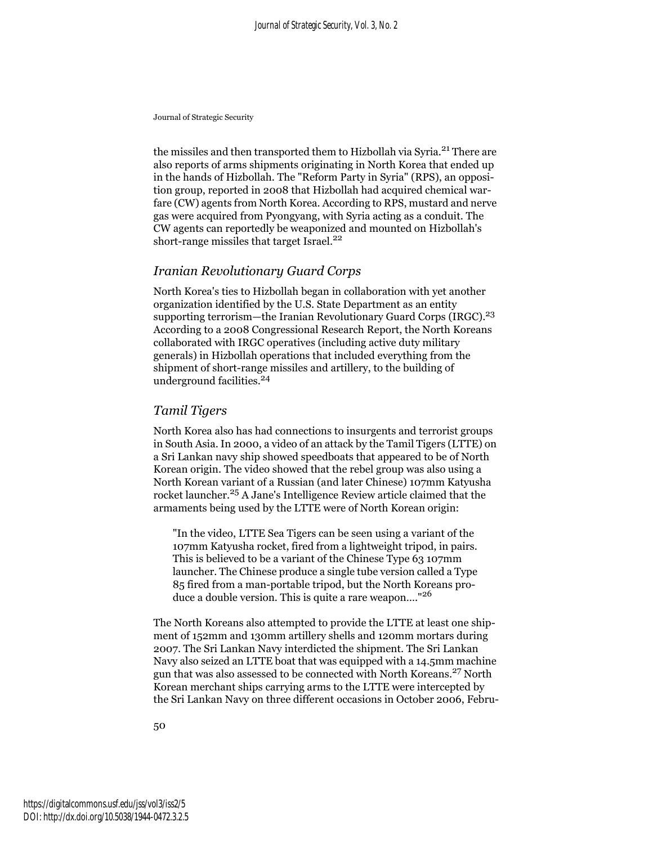the missiles and then transported them to Hizbollah via Syria.<sup>21</sup> There are also reports of arms shipments originating in North Korea that ended up in the hands of Hizbollah. The "Reform Party in Syria" (RPS), an opposition group, reported in 2008 that Hizbollah had acquired chemical warfare (CW) agents from North Korea. According to RPS, mustard and nerve gas were acquired from Pyongyang, with Syria acting as a conduit. The CW agents can reportedly be weaponized and mounted on Hizbollah's short-range missiles that target Israel.<sup>22</sup>

#### *Iranian Revolutionary Guard Corps*

North Korea's ties to Hizbollah began in collaboration with yet another organization identified by the U.S. State Department as an entity supporting terrorism—the Iranian Revolutionary Guard Corps (IRGC).<sup>23</sup> According to a 2008 Congressional Research Report, the North Koreans collaborated with IRGC operatives (including active duty military generals) in Hizbollah operations that included everything from the shipment of short-range missiles and artillery, to the building of underground facilities.<sup>24</sup>

#### *Tamil Tigers*

North Korea also has had connections to insurgents and terrorist groups in South Asia. In 2000, a video of an attack by the Tamil Tigers (LTTE) on a Sri Lankan navy ship showed speedboats that appeared to be of North Korean origin. The video showed that the rebel group was also using a North Korean variant of a Russian (and later Chinese) 107mm Katyusha rocket launcher.<sup>25</sup> A Jane's Intelligence Review article claimed that the armaments being used by the LTTE were of North Korean origin:

"In the video, LTTE Sea Tigers can be seen using a variant of the 107mm Katyusha rocket, fired from a lightweight tripod, in pairs. This is believed to be a variant of the Chinese Type 63 107mm launcher. The Chinese produce a single tube version called a Type 85 fired from a man-portable tripod, but the North Koreans produce a double version. This is quite a rare weapon...."<sup>26</sup>

The North Koreans also attempted to provide the LTTE at least one shipment of 152mm and 130mm artillery shells and 120mm mortars during 2007. The Sri Lankan Navy interdicted the shipment. The Sri Lankan Navy also seized an LTTE boat that was equipped with a 14.5mm machine gun that was also assessed to be connected with North Koreans.27 North Korean merchant ships carrying arms to the LTTE were intercepted by the Sri Lankan Navy on three different occasions in October 2006, Febru-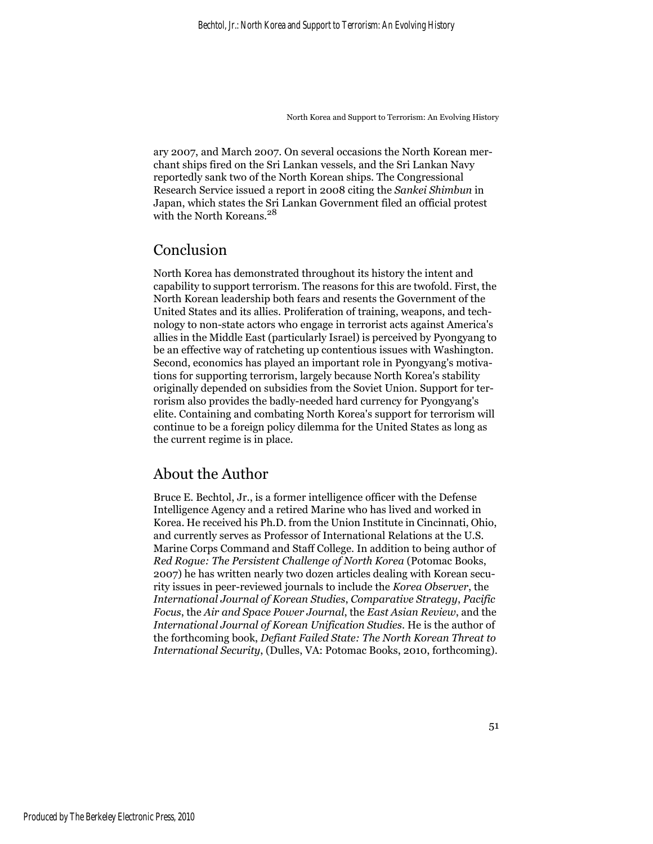ary 2007, and March 2007. On several occasions the North Korean merchant ships fired on the Sri Lankan vessels, and the Sri Lankan Navy reportedly sank two of the North Korean ships. The Congressional Research Service issued a report in 2008 citing the *Sankei Shimbun* in Japan, which states the Sri Lankan Government filed an official protest with the North Koreans.<sup>28</sup>

### Conclusion

North Korea has demonstrated throughout its history the intent and capability to support terrorism. The reasons for this are twofold. First, the North Korean leadership both fears and resents the Government of the United States and its allies. Proliferation of training, weapons, and technology to non-state actors who engage in terrorist acts against America's allies in the Middle East (particularly Israel) is perceived by Pyongyang to be an effective way of ratcheting up contentious issues with Washington. Second, economics has played an important role in Pyongyang's motivations for supporting terrorism, largely because North Korea's stability originally depended on subsidies from the Soviet Union. Support for terrorism also provides the badly-needed hard currency for Pyongyang's elite. Containing and combating North Korea's support for terrorism will continue to be a foreign policy dilemma for the United States as long as the current regime is in place.

## About the Author

Bruce E. Bechtol, Jr., is a former intelligence officer with the Defense Intelligence Agency and a retired Marine who has lived and worked in Korea. He received his Ph.D. from the Union Institute in Cincinnati, Ohio, and currently serves as Professor of International Relations at the U.S. Marine Corps Command and Staff College. In addition to being author of *Red Rogue: The Persistent Challenge of North Korea* (Potomac Books, 2007) he has written nearly two dozen articles dealing with Korean security issues in peer-reviewed journals to include the *Korea Observer*, the *International Journal of Korean Studies*, *Comparative Strategy*, *Pacific Focus*, the *Air and Space Power Journal*, the *East Asian Review*, and the *International Journal of Korean Unification Studies*. He is the author of the forthcoming book, *Defiant Failed State: The North Korean Threat to International Security*, (Dulles, VA: Potomac Books, 2010, forthcoming).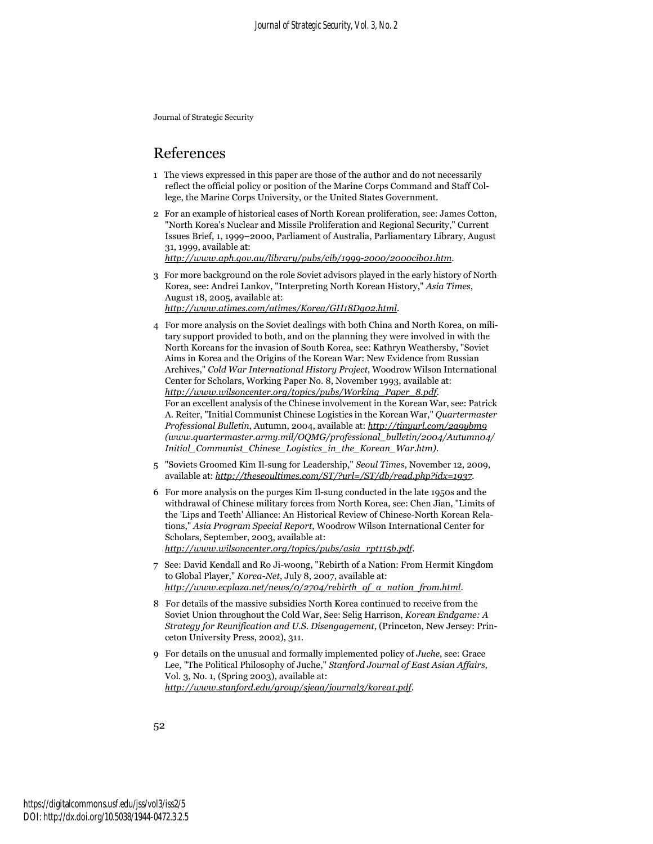### References

- 1 The views expressed in this paper are those of the author and do not necessarily reflect the official policy or position of the Marine Corps Command and Staff College, the Marine Corps University, or the United States Government.
- 2 For an example of historical cases of North Korean proliferation, see: James Cotton, "North Korea's Nuclear and Missile Proliferation and Regional Security," Current Issues Brief, 1, 1999–2000, Parliament of Australia, Parliamentary Library, August 31, 1999, available at:

*http://www.aph.gov.au/library/pubs/cib/1999-2000/2000cib01.htm*.

- 3 For more background on the role Soviet advisors played in the early history of North Korea, see: Andrei Lankov, "Interpreting North Korean History," *Asia Times*, August 18, 2005, available at: *http://www.atimes.com/atimes/Korea/GH18Dg02.html*.
- 4 For more analysis on the Soviet dealings with both China and North Korea, on military support provided to both, and on the planning they were involved in with the North Koreans for the invasion of South Korea, see: Kathryn Weathersby, "Soviet Aims in Korea and the Origins of the Korean War: New Evidence from Russian Archives," *Cold War International History Project*, Woodrow Wilson International Center for Scholars, Working Paper No. 8, November 1993, available at: *http://www.wilsoncenter.org/topics/pubs/Working\_Paper\_8.pdf*. For an excellent analysis of the Chinese involvement in the Korean War, see: Patrick A. Reiter, "Initial Communist Chinese Logistics in the Korean War," *Quartermaster Professional Bulletin*, Autumn, 2004, available at: *http://tinyurl.com/2a9ybm9 (www.quartermaster.army.mil/OQMG/professional\_bulletin/2004/Autumn04/ Initial\_Communist\_Chinese\_Logistics\_in\_the\_Korean\_War.htm)*.
- 5 "Soviets Groomed Kim Il-sung for Leadership," *Seoul Times*, November 12, 2009, available at: *http://theseoultimes.com/ST/?url=/ST/db/read.php?idx=1937*.
- 6 For more analysis on the purges Kim Il-sung conducted in the late 1950s and the withdrawal of Chinese military forces from North Korea, see: Chen Jian, "Limits of the 'Lips and Teeth' Alliance: An Historical Review of Chinese-North Korean Relations," *Asia Program Special Report*, Woodrow Wilson International Center for Scholars, September, 2003, available at: *http://www.wilsoncenter.org/topics/pubs/asia\_rpt115b.pdf*.
- 7 See: David Kendall and Ro Ji-woong, "Rebirth of a Nation: From Hermit Kingdom to Global Player," *Korea-Net*, July 8, 2007, available at: *http://www.ecplaza.net/news/0/2704/rebirth\_of\_a\_nation\_from.html*.
- 8 For details of the massive subsidies North Korea continued to receive from the Soviet Union throughout the Cold War, See: Selig Harrison, *Korean Endgame: A Strategy for Reunification and U.S. Disengagement*, (Princeton, New Jersey: Princeton University Press, 2002), 311.
- 9 For details on the unusual and formally implemented policy of *Juche*, see: Grace Lee, "The Political Philosophy of Juche," *Stanford Journal of East Asian Affairs*, Vol. 3, No. 1, (Spring 2003), available at: *http://www.stanford.edu/group/sjeaa/journal3/korea1.pdf*.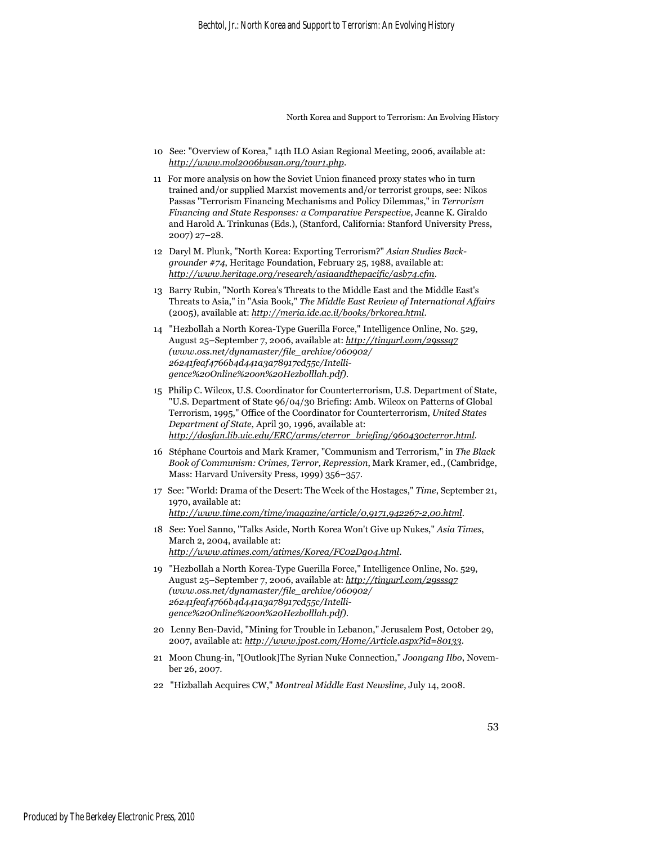- 10 See: "Overview of Korea," 14th ILO Asian Regional Meeting, 2006, available at: *http://www.mol2006busan.org/tour1.php*.
- 11 For more analysis on how the Soviet Union financed proxy states who in turn trained and/or supplied Marxist movements and/or terrorist groups, see: Nikos Passas "Terrorism Financing Mechanisms and Policy Dilemmas," in *Terrorism Financing and State Responses: a Comparative Perspective*, Jeanne K. Giraldo and Harold A. Trinkunas (Eds.), (Stanford, California: Stanford University Press, 2007) 27–28.
- 12 Daryl M. Plunk, "North Korea: Exporting Terrorism?" *Asian Studies Backgrounder #74*, Heritage Foundation, February 25, 1988, available at: *http://www.heritage.org/research/asiaandthepacific/asb74.cfm*.
- 13 Barry Rubin, "North Korea's Threats to the Middle East and the Middle East's Threats to Asia," in "Asia Book," *The Middle East Review of International Affairs* (2005), available at: *http://meria.idc.ac.il/books/brkorea.html*.
- 14 "Hezbollah a North Korea-Type Guerilla Force," Intelligence Online, No. 529, August 25–September 7, 2006, available at: *http://tinyurl.com/29sssq7 (www.oss.net/dynamaster/file\_archive/060902/ 26241feaf4766b4d441a3a78917cd55c/Intelligence%20Online%20on%20Hezbolllah.pdf)*.
- 15 Philip C. Wilcox, U.S. Coordinator for Counterterrorism, U.S. Department of State, "U.S. Department of State 96/04/30 Briefing: Amb. Wilcox on Patterns of Global Terrorism, 1995," Office of the Coordinator for Counterterrorism, *United States Department of State*, April 30, 1996, available at: *http://dosfan.lib.uic.edu/ERC/arms/cterror\_briefing/960430cterror.html*.
- 16 Stéphane Courtois and Mark Kramer, "Communism and Terrorism," in *The Black Book of Communism: Crimes, Terror, Repression*, Mark Kramer, ed., (Cambridge, Mass: Harvard University Press, 1999) 356–357.
- 17 See: "World: Drama of the Desert: The Week of the Hostages," *Time*, September 21, 1970, available at: *http://www.time.com/time/magazine/article/0,9171,942267-2,00.html*.
- 18 See: Yoel Sanno, "Talks Aside, North Korea Won't Give up Nukes," *Asia Times*, March 2, 2004, available at: *http://www.atimes.com/atimes/Korea/FC02Dg04.html*.
- 19 "Hezbollah a North Korea-Type Guerilla Force," Intelligence Online, No. 529, August 25–September 7, 2006, available at: *http://tinyurl.com/29sssq7 (www.oss.net/dynamaster/file\_archive/060902/ 26241feaf4766b4d441a3a78917cd55c/Intelligence%20Online%20on%20Hezbolllah.pdf)*.
- 20 Lenny Ben-David, "Mining for Trouble in Lebanon," Jerusalem Post, October 29, 2007, available at: *http://www.jpost.com/Home/Article.aspx?id=80133*.
- 21 Moon Chung-in, "[Outlook]The Syrian Nuke Connection," *Joongang Ilbo*, November 26, 2007.
- 22 "Hizballah Acquires CW," *Montreal Middle East Newsline*, July 14, 2008.